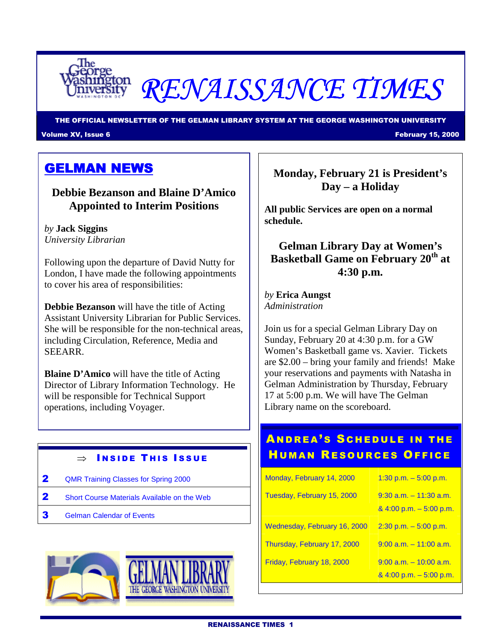

# RENAISSANCE TIMES

THE OFFICIAL NEWSLETTER OF THE GELMAN LIBRARY SYSTEM AT THE GEORGE WASHINGTON UNIVERSITY Volume XV, Issue 6 February 15, 2000

## GELMAN NEWS

#### **Debbie Bezanson and Blaine D'Amico Appointed to Interim Positions**

*by* **Jack Siggins**  *University Librarian* 

Following upon the departure of David Nutty for London, I have made the following appointments to cover his area of responsibilities:

**Debbie Bezanson** will have the title of Acting Assistant University Librarian for Public Services. She will be responsible for the non-technical areas, including Circulation, Reference, Media and SEEARR.

**Blaine D'Amico** will have the title of Acting Director of Library Information Technology. He will be responsible for Technical Support operations, including Voyager.

#### $\Rightarrow$  Inside This Issue

- 2 QMR Training Classes for Spring 2000
- 2 Short Course Materials Available on the Web
- **3** Gelman Calendar of Events



**Monday, February 21 is President's Day – a Holiday** 

**All public Services are open on a normal schedule.** 

**Gelman Library Day at Women's Basketball Game on February 20th at 4:30 p.m.** 

*by* **Erica Aungst** *Administration* 

Join us for a special Gelman Library Day on Sunday, February 20 at 4:30 p.m. for a GW Women's Basketball game vs. Xavier. Tickets are \$2.00 – bring your family and friends! Make your reservations and payments with Natasha in Gelman Administration by Thursday, February 17 at 5:00 p.m. We will have The Gelman Library name on the scoreboard.

## **ANDREA'S SCHEDULE IN THE HUMAN RESOURCES OFFICE**

| Monday, February 14, 2000    | $1:30$ p.m. $-5:00$ p.m.                                |
|------------------------------|---------------------------------------------------------|
| Tuesday, February 15, 2000   | $9:30$ a.m. $-11:30$ a.m.<br>$8,4:00$ p.m. $-5:00$ p.m. |
| Wednesday, February 16, 2000 | $2:30$ p.m. $-5:00$ p.m.                                |
| Thursday, February 17, 2000  | $9:00$ a.m. $-11:00$ a.m.                               |
| Friday, February 18, 2000    | $9:00$ a.m. $-10:00$ a.m.<br>$8,4:00$ p.m. $-5:00$ p.m. |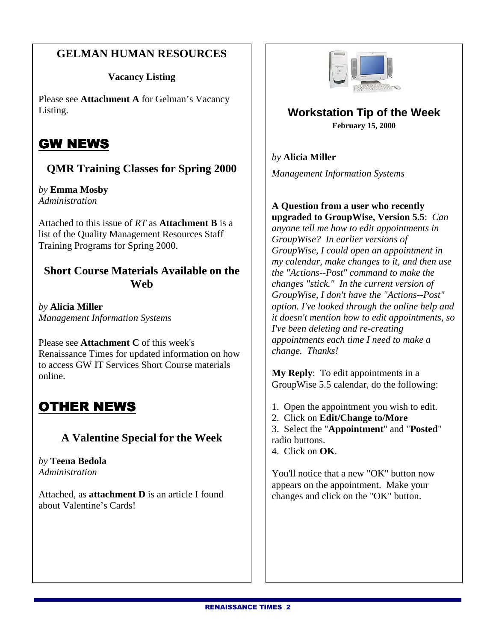#### **GELMAN HUMAN RESOURCES**

#### **Vacancy Listing**

Please see **Attachment A** for Gelman's Vacancy Listing.

## GW NEWS

### **QMR Training Classes for Spring 2000**

*by* **Emma Mosby**  *Administration* 

Attached to this issue of *RT* as **Attachment B** is a list of the Quality Management Resources Staff Training Programs for Spring 2000.

#### **Short Course Materials Available on the Web**

*by* **Alicia Miller**  *Management Information Systems*

Please see **Attachment C** of this week's Renaissance Times for updated information on how to access GW IT Services Short Course materials online.

## OTHER NEWS

#### **A Valentine Special for the Week**

*by* **Teena Bedola**  *Administration* 

Attached, as **attachment D** is an article I found about Valentine's Cards!



#### **Workstation Tip of the Week February 15, 2000**

*by* **Alicia Miller**  *Management Information Systems* 

## **A Question from a user who recently**

**upgraded to GroupWise, Version 5.5**: *Can anyone tell me how to edit appointments in GroupWise? In earlier versions of GroupWise, I could open an appointment in my calendar, make changes to it, and then use the "Actions--Post" command to make the changes "stick." In the current version of GroupWise, I don't have the "Actions--Post" option. I've looked through the online help and it doesn't mention how to edit appointments, so I've been deleting and re-creating appointments each time I need to make a change. Thanks!* 

**My Reply**: To edit appointments in a GroupWise 5.5 calendar, do the following:

- 1. Open the appointment you wish to edit.
- 2. Click on **Edit/Change to/More**
- 3. Select the "**Appointment**" and "**Posted**" radio buttons.

4. Click on **OK**.

You'll notice that a new "OK" button now appears on the appointment. Make your changes and click on the "OK" button.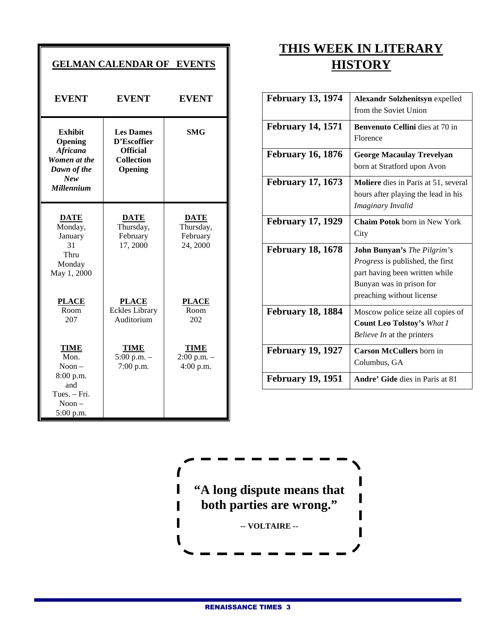| <b>GELMAN CALENDAR OF EVENTS</b>                                                                   |                                                                                    |                                                  |
|----------------------------------------------------------------------------------------------------|------------------------------------------------------------------------------------|--------------------------------------------------|
| <b>EVENT</b>                                                                                       | <b>EVENT</b>                                                                       | <b>EVENT</b>                                     |
| <b>Exhibit</b><br>Opening<br>Africana<br>Women at the<br>Dawn of the<br>New<br><b>Millennium</b>   | <b>Les Dames</b><br>D'Escoffier<br><b>Official</b><br><b>Collection</b><br>Opening | <b>SMG</b>                                       |
| <b>DATE</b><br>Monday,<br>January<br>31<br>Thru<br>Monday<br>May 1, 2000                           | <b>DATE</b><br>Thursday,<br>February<br>17,2000                                    | <b>DATE</b><br>Thursday,<br>February<br>24, 2000 |
| <b>PLACE</b><br>$\overline{\text{Room}}$<br>207                                                    | <b>PLACE</b><br><b>Eckles Library</b><br>Auditorium                                | <b>PLACE</b><br>Room<br>202                      |
| <b>TIME</b><br>Mon.<br>$N$ oon $-$<br>8:00 p.m.<br>and<br>Tues. - Fri.<br>$N$ oon $-$<br>5:00 p.m. | <b>TIME</b><br>$5:00$ p.m. $-$<br>7:00 p.m.                                        | <b>TIME</b><br>$2:00$ p.m. $-$<br>$4:00$ p.m.    |

## **THIS WEEK IN LITERARY HISTORY**

| <b>February 13, 1974</b> | <b>Alexandr Solzhenitsyn expelled</b><br>from the Soviet Union                                                                                                           |
|--------------------------|--------------------------------------------------------------------------------------------------------------------------------------------------------------------------|
| <b>February 14, 1571</b> | Benvenuto Cellini dies at 70 in<br>Florence                                                                                                                              |
| <b>February 16, 1876</b> | <b>George Macaulay Trevelyan</b><br>born at Stratford upon Avon                                                                                                          |
| <b>February 17, 1673</b> | <b>Moliere</b> dies in Paris at 51, several<br>hours after playing the lead in his<br>Imaginary Invalid                                                                  |
| <b>February 17, 1929</b> | <b>Chaim Potok</b> born in New York<br>City                                                                                                                              |
| <b>February 18, 1678</b> | <b>John Bunyan's</b> The Pilgrim's<br><i>Progress</i> is published, the first<br>part having been written while<br>Bunyan was in prison for<br>preaching without license |
| <b>February 18, 1884</b> | Moscow police seize all copies of<br><b>Count Leo Tolstoy's What I</b><br>Believe In at the printers                                                                     |
| <b>February 19, 1927</b> | <b>Carson McCullers</b> born in<br>Columbus, GA                                                                                                                          |
| <b>February 19, 1951</b> | <b>Andre' Gide</b> dies in Paris at 81                                                                                                                                   |



T